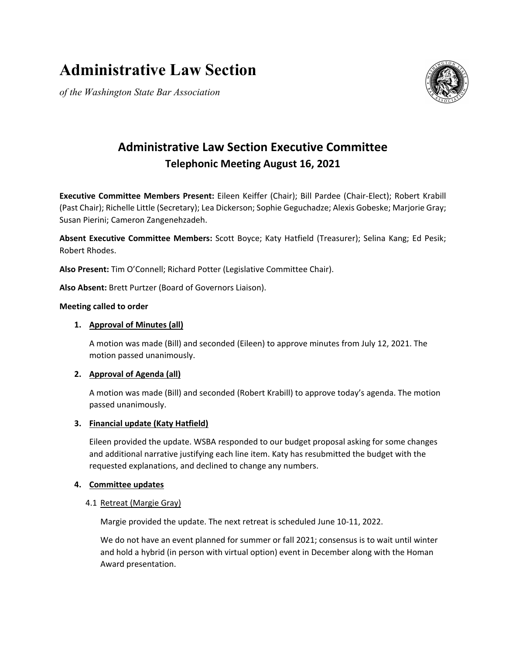# **Administrative Law Section**

*of the Washington State Bar Association*



# **Administrative Law Section Executive Committee Telephonic Meeting August 16, 2021**

**Executive Committee Members Present:** Eileen Keiffer (Chair); Bill Pardee (Chair-Elect); Robert Krabill (Past Chair); Richelle Little (Secretary); Lea Dickerson; Sophie Geguchadze; Alexis Gobeske; Marjorie Gray; Susan Pierini; Cameron Zangenehzadeh.

**Absent Executive Committee Members:** Scott Boyce; Katy Hatfield (Treasurer); Selina Kang; Ed Pesik; Robert Rhodes.

**Also Present:** Tim O'Connell; Richard Potter (Legislative Committee Chair).

**Also Absent:** Brett Purtzer (Board of Governors Liaison).

#### **Meeting called to order**

#### **1. Approval of Minutes (all)**

A motion was made (Bill) and seconded (Eileen) to approve minutes from July 12, 2021. The motion passed unanimously.

# **2. Approval of Agenda (all)**

A motion was made (Bill) and seconded (Robert Krabill) to approve today's agenda. The motion passed unanimously.

# **3. Financial update (Katy Hatfield)**

Eileen provided the update. WSBA responded to our budget proposal asking for some changes and additional narrative justifying each line item. Katy has resubmitted the budget with the requested explanations, and declined to change any numbers.

# **4. Committee updates**

#### 4.1 Retreat (Margie Gray)

Margie provided the update. The next retreat is scheduled June 10-11, 2022.

We do not have an event planned for summer or fall 2021; consensus is to wait until winter and hold a hybrid (in person with virtual option) event in December along with the Homan Award presentation.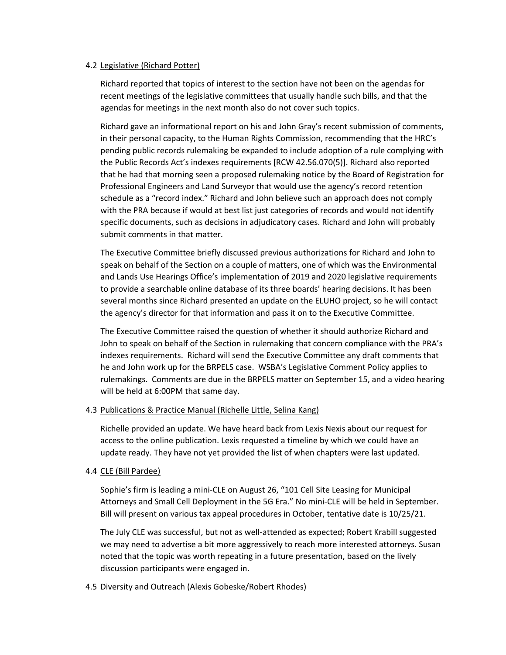#### 4.2 Legislative (Richard Potter)

Richard reported that topics of interest to the section have not been on the agendas for recent meetings of the legislative committees that usually handle such bills, and that the agendas for meetings in the next month also do not cover such topics.

Richard gave an informational report on his and John Gray's recent submission of comments, in their personal capacity, to the Human Rights Commission, recommending that the HRC's pending public records rulemaking be expanded to include adoption of a rule complying with the Public Records Act's indexes requirements [RCW 42.56.070(5)]. Richard also reported that he had that morning seen a proposed rulemaking notice by the Board of Registration for Professional Engineers and Land Surveyor that would use the agency's record retention schedule as a "record index." Richard and John believe such an approach does not comply with the PRA because if would at best list just categories of records and would not identify specific documents, such as decisions in adjudicatory cases. Richard and John will probably submit comments in that matter.

The Executive Committee briefly discussed previous authorizations for Richard and John to speak on behalf of the Section on a couple of matters, one of which was the Environmental and Lands Use Hearings Office's implementation of 2019 and 2020 legislative requirements to provide a searchable online database of its three boards' hearing decisions. It has been several months since Richard presented an update on the ELUHO project, so he will contact the agency's director for that information and pass it on to the Executive Committee.

The Executive Committee raised the question of whether it should authorize Richard and John to speak on behalf of the Section in rulemaking that concern compliance with the PRA's indexes requirements. Richard will send the Executive Committee any draft comments that he and John work up for the BRPELS case. WSBA's Legislative Comment Policy applies to rulemakings. Comments are due in the BRPELS matter on September 15, and a video hearing will be held at 6:00PM that same day.

#### 4.3 Publications & Practice Manual (Richelle Little, Selina Kang)

Richelle provided an update. We have heard back from Lexis Nexis about our request for access to the online publication. Lexis requested a timeline by which we could have an update ready. They have not yet provided the list of when chapters were last updated.

# 4.4 CLE (Bill Pardee)

Sophie's firm is leading a mini-CLE on August 26, "101 Cell Site Leasing for Municipal Attorneys and Small Cell Deployment in the 5G Era." No mini-CLE will be held in September. Bill will present on various tax appeal procedures in October, tentative date is 10/25/21.

The July CLE was successful, but not as well-attended as expected; Robert Krabill suggested we may need to advertise a bit more aggressively to reach more interested attorneys. Susan noted that the topic was worth repeating in a future presentation, based on the lively discussion participants were engaged in.

#### 4.5 Diversity and Outreach (Alexis Gobeske/Robert Rhodes)